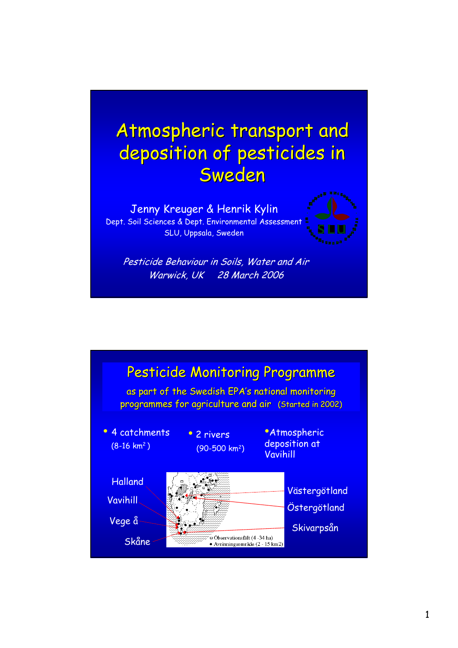



Warwick, UK 28 March 2006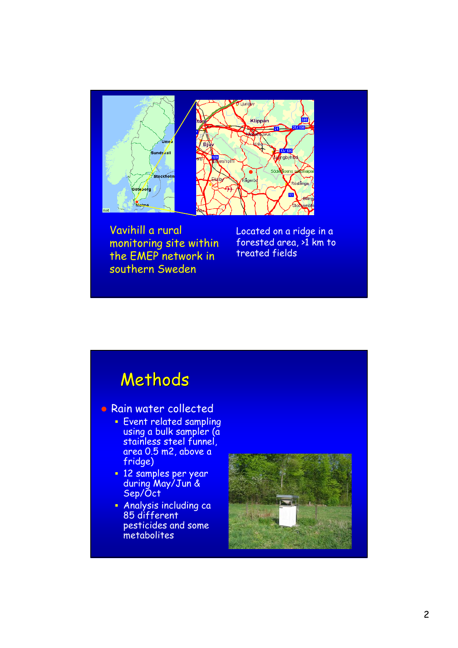

Vavihill a rural monitoring site within the EMEP network in southern Sweden

Located on a ridge in a forested area, >1 km to treated fields

## Methods

**• Rain water collected** 

- **Event related sampling** using a bulk sampler (a stainless steel funnel, area 0.5 m2, above a fridge)
- **12 samples per year** during May/Jun & Sep/Oct
- Analysis including ca 85 different pesticides and some metabolites

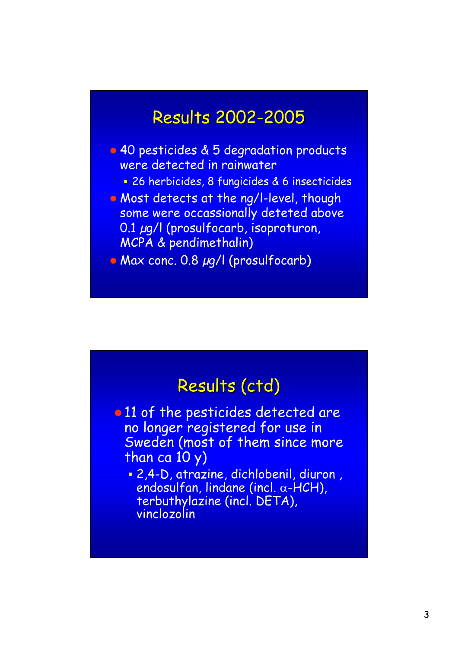### **Results 2002-2005**

- 40 pesticides & 5 degradation products were detected in rainwater
	- 26 herbicides, 8 fungicides & 6 insecticides
- Most detects at the ng/l-level, though some were occassionally deteted above 0.1 µg/l (prosulfocarb, isoproturon, MCPA & pendimethalin)
- Max conc. 0.8 µg/l (prosulfocarb)

### Results (ctd)

- 11 of the pesticides detected are no longer registered for use in Sweden (most of them since more than ca 10 y)
	- 2,4-D, atrazine, dichlobenil, diuron , endosulfan, lindane (incl. α-HCH), terbuthylazine (incl. DETA), vinclozolin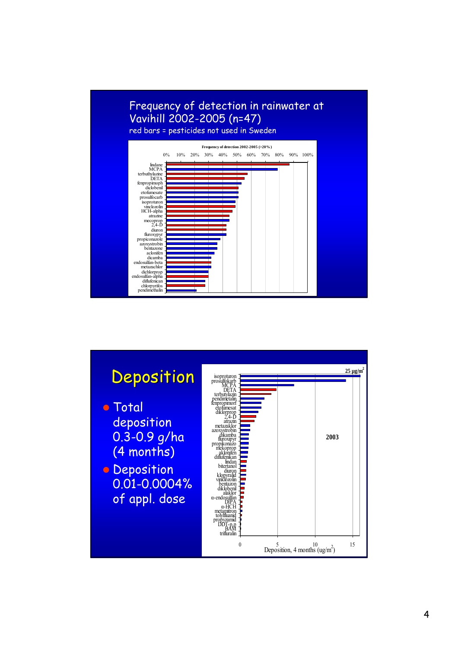#### Frequency of detection in rainwater at Vavihill 2002-2005 (n=47) red bars = pesticides not used in Sweden



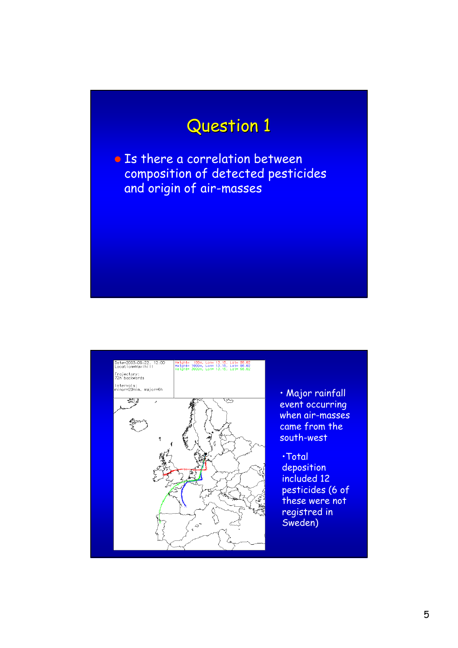# Question 1

• Is there a correlation between composition of detected pesticides and origin of air-masses



• Major rainfall event occurring when air-masses came from the

pesticides (6 of these were not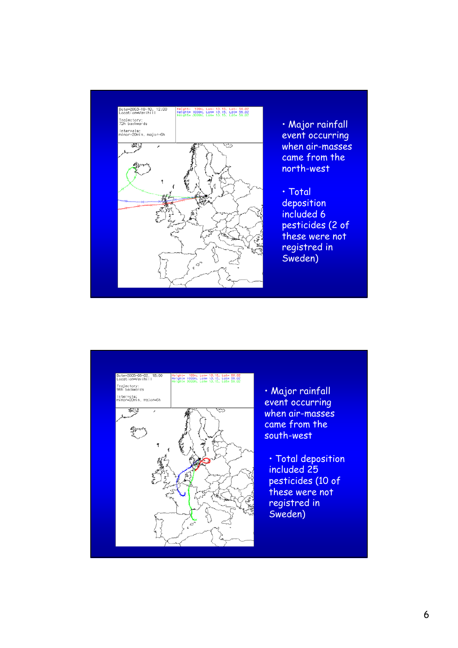



• Major rainfall event occurring when air-masses came from the south-west

• Total deposition included 25 pesticides (10 of these were not registred in Sweden)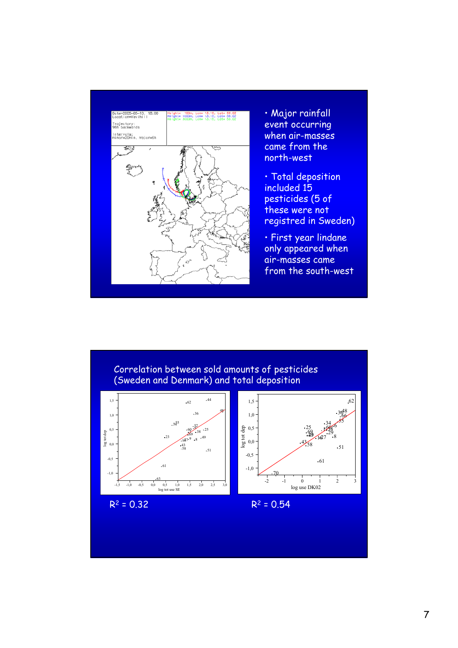

• Major rainfall event occurring when air-masses came from the north-west

• Total deposition included 15 pesticides (5 of these were not registred in Sweden)

• First year lindane only appeared when air-masses came from the south-west

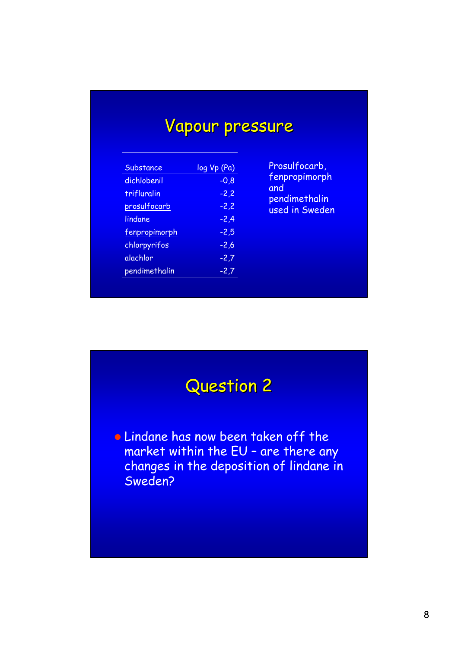# Vapour pressure

| Substance     | log Vp (Pa) |
|---------------|-------------|
| dichlobenil   | $-0,8$      |
| trifluralin   | $-2,2$      |
| prosulfocarb  | $-2,2$      |
| lindane       | -2,4        |
| fenpropimorph | $-2,5$      |
| chlorpyrifos  | $-2,6$      |
| alachlor      | $-2,7$      |
| pendimethalin | -2,7        |

Prosulfocarb, fenpropimorph and pendimethalin used in Sweden

## Question 2

**E** Lindane has now been taken off the market within the EU – are there any changes in the deposition of lindane in Sweden?